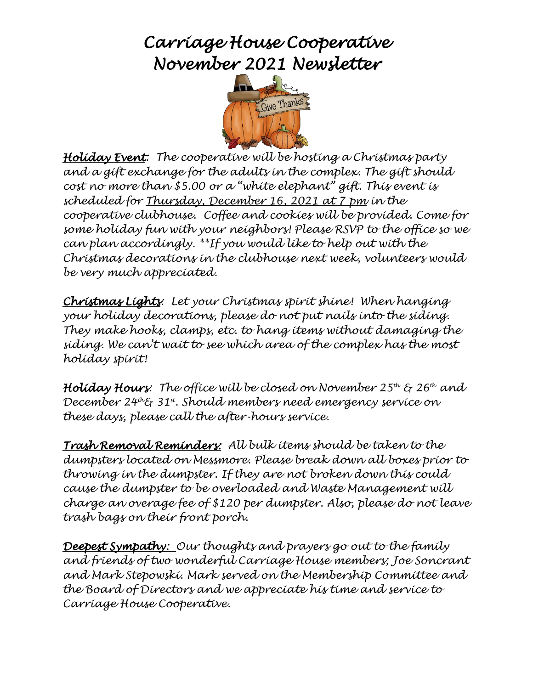## *Carriage House Cooperative November 2021 Newsletter*



*Holiday Event: The cooperative will be hosting a Christmas party and a gift exchange for the adults in the complex. The gift should cost no more than \$5.00 or a "white elephant" gift. This event is scheduled for Thursday, December 16, 2021 at 7 pm in the cooperative clubhouse. Coffee and cookies will be provided. Come for some holiday fun with your neighbors! Please RSVP to the office so we can plan accordingly. \*\*If you would like to help out with the Christmas decorations in the clubhouse next week, volunteers would be very much appreciated.*

*Christmas Lights: Let your Christmas spirit shine! When hanging your holiday decorations, please do not put nails into the siding. They make hooks, clamps, etc. to hang items without damaging the siding. We can't wait to see which area of the complex has the most holiday spirit!*

*Holiday Hours: The office will be closed on November 25th & 26th and December 24th& 31st. Should members need emergency service on these days, please call the after-hours service.* 

*Trash Removal Reminders: All bulk items should be taken to the dumpsters located on Messmore. Please break down all boxes prior to throwing in the dumpster. If they are not broken down this could cause the dumpster to be overloaded and Waste Management will charge an overage fee of \$120 per dumpster. Also, please do not leave trash bags on their front porch.* 

*Deepest Sympathy: Our thoughts and prayers go out to the family and friends of two wonderful Carriage House members; Joe Soncrant and Mark Stepowski. Mark served on the Membership Committee and the Board of Directors and we appreciate his time and service to Carriage House Cooperative.*